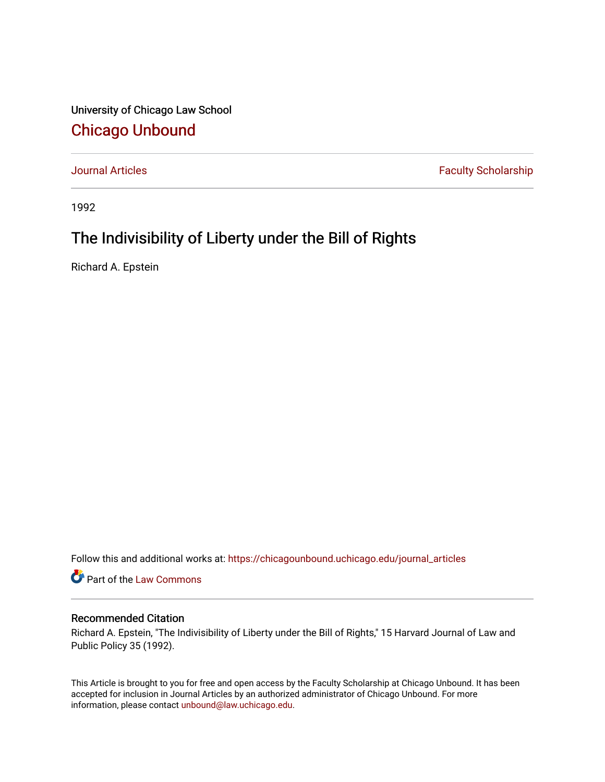University of Chicago Law School [Chicago Unbound](https://chicagounbound.uchicago.edu/)

[Journal Articles](https://chicagounbound.uchicago.edu/journal_articles) **Faculty Scholarship Journal Articles** 

1992

## The Indivisibility of Liberty under the Bill of Rights

Richard A. Epstein

Follow this and additional works at: [https://chicagounbound.uchicago.edu/journal\\_articles](https://chicagounbound.uchicago.edu/journal_articles?utm_source=chicagounbound.uchicago.edu%2Fjournal_articles%2F1245&utm_medium=PDF&utm_campaign=PDFCoverPages) 

Part of the [Law Commons](http://network.bepress.com/hgg/discipline/578?utm_source=chicagounbound.uchicago.edu%2Fjournal_articles%2F1245&utm_medium=PDF&utm_campaign=PDFCoverPages)

## Recommended Citation

Richard A. Epstein, "The Indivisibility of Liberty under the Bill of Rights," 15 Harvard Journal of Law and Public Policy 35 (1992).

This Article is brought to you for free and open access by the Faculty Scholarship at Chicago Unbound. It has been accepted for inclusion in Journal Articles by an authorized administrator of Chicago Unbound. For more information, please contact [unbound@law.uchicago.edu](mailto:unbound@law.uchicago.edu).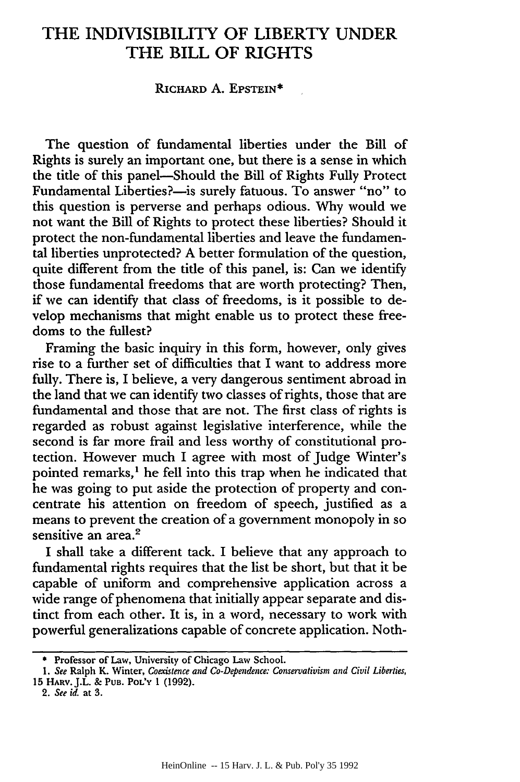## THE INDIVISIBILITY OF LIBERTY UNDER THE BILL OF RIGHTS

## RICHARD A. EPSTEIN\*

The question of fundamental liberties under the Bill of Rights is surely an important one, but there is a sense in which the title of this panel-Should the Bill of Rights Fully Protect Fundamental Liberties?-is surely fatuous. To answer "no" to this question is perverse and perhaps odious. **Why** would we not want the Bill of Rights to protect these liberties? Should it protect the non-fundamental liberties and leave the fundamental liberties unprotected? A better formulation of the question, quite different from the title of this panel, is: Can we identify those fundamental freedoms that are worth protecting? Then, if we can identify that class of freedoms, is it possible to develop mechanisms that might enable us to protect these freedoms to the fullest?

Framing the basic inquiry in this form, however, only gives rise to a further set of difficulties that I want to address more fully. There is, I believe, a very dangerous sentiment abroad in the land that we can identify two classes of rights, those that are fundamental and those that are not. The first class of rights is regarded as robust against legislative interference, while the second is far more frail and less worthy of constitutional protection. However much I agree with most of Judge Winter's pointed remarks,' he fell into this trap when he indicated that he was going to put aside the protection of property and concentrate his attention on freedom of speech, justified as a means to prevent the creation of a government monopoly in so sensitive an area.<sup>2</sup>

I shall take a different tack. I believe that any approach to fundamental rights requires that the list be short, but that it be capable of uniform and comprehensive application across a wide range of phenomena that initially appear separate and distinct from each other. It is, in a word, necessary to work with powerful generalizations capable of concrete application. Noth-

<sup>\*</sup> Professor of Law, University of Chicago Law School.

*<sup>1.</sup> See* Ralph K. Winter, *Coaristence and Co-Dependence: Conservativism and Civil Liberties,* **15** HARV.J.L. **& PuB. PoL'Y 1 (1992).**

*<sup>2.</sup>* See id. at 3.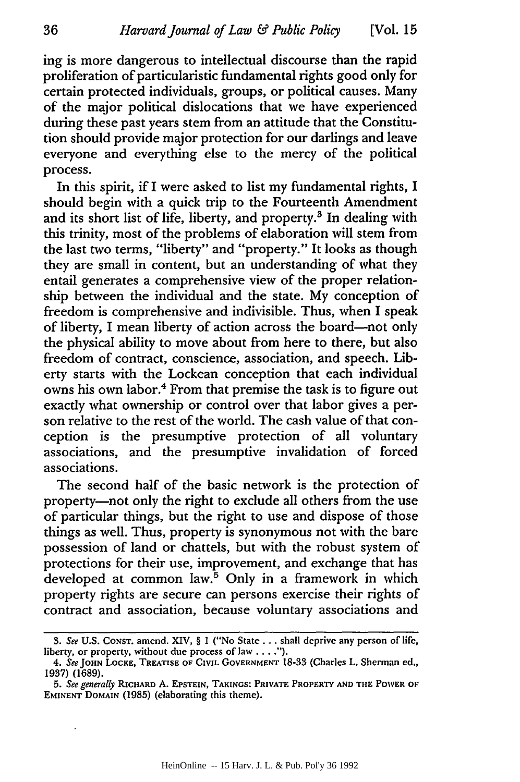ing is more dangerous to intellectual discourse than the rapid proliferation of particularistic fundamental rights good only for certain protected individuals, groups, or political causes. Many of the major political dislocations that we have experienced during these past years stem from an attitude that the Constitution should provide major protection for our darlings and leave everyone and everything else to the mercy of the political process.

In this spirit, if I were asked to list my fundamental rights, I should begin with a quick trip to the Fourteenth Amendment and its short list of life, liberty, and property.<sup>3</sup> In dealing with this trinity, most of the problems of elaboration will stem from the last two terms, "liberty" and "property." It looks as though they are small in content, but an understanding of what they entail generates a comprehensive view of the proper relationship between the individual and the state. My conception of freedom is comprehensive and indivisible. Thus, when I speak of liberty, I mean liberty of action across the board-not only the physical ability to move about from here to there, but also freedom of contract, conscience, association, and speech. Liberty starts with the Lockean conception that each individual owns his own labor.4 From that premise the task is to figure out exactly what ownership or control over that labor gives a person relative to the rest of the world. The cash value of that conception is the presumptive protection of all voluntary associations, and the presumptive invalidation of forced associations.

The second half of the basic network is the protection of property-not only the right to exclude all others from the use of particular things, but the right to use and dispose of those things as well. Thus, property is synonymous not with the bare possession of land or chattels, but with the robust system of protections for their use, improvement, and exchange that has developed at common law. $5$  Only in a framework in which property rights are secure can persons exercise their rights of contract and association, because voluntary associations and

*<sup>3.</sup> See* **U.S. CONST.** amend. XIV, § **I** ("No State **...** shall deprive any person of life, liberty, or property, without due process of law **.... ).**

*<sup>4.</sup> SeeJOHN* **LOCKE, TREATISE OF** CIVIL **GOVERNMENT 18-33** (Charles L. Sherman ed., **1937) (1689).**

*<sup>5.</sup> See generally* **RICHARD A. EPSTEIN, TAKINGS: PRIVATE PROPERTY AND THE POwER OF** EMINENT **DOMAIN (1985)** (elaborating this theme).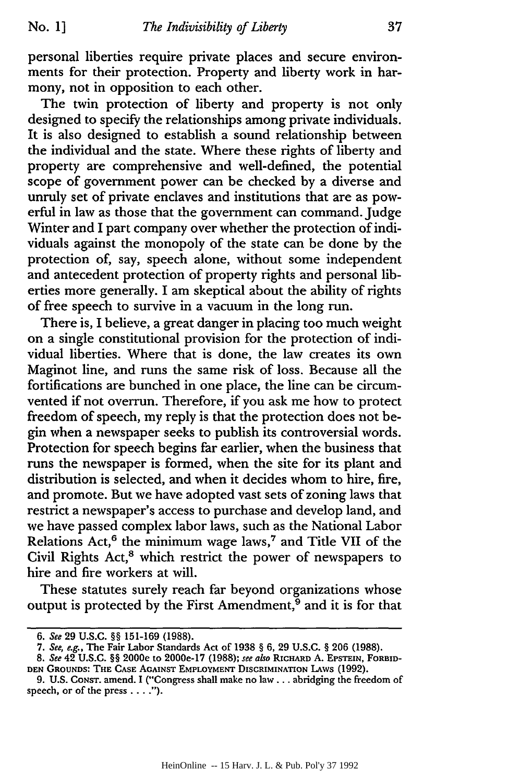personal liberties require private places and secure environments for their protection. Property and liberty work in harmony, not in opposition to each other.

The twin protection of liberty and property is not only designed to specify the relationships among private individuals. It is also designed to establish a sound relationship between the individual and the state. Where these rights of liberty and property are comprehensive and well-defined, the potential scope of government power can be checked by a diverse and unruly set of private enclaves and institutions that are as powerful in law as those that the government can command. Judge Winter and I part company over whether the protection of individuals against the monopoly of the state can be done by the protection of, say, speech alone, without some independent and antecedent protection of property rights and personal liberties more generally. I am skeptical about the ability of rights of free speech to survive in a vacuum in the long run.

There is, I believe, a great danger in placing too much weight on a single constitutional provision for the protection of individual liberties. Where that is done, the law creates its own Maginot line, and runs the same risk of loss. Because all the fortifications are bunched in one place, the line can be circumvented if not overrun. Therefore, if you ask me how to protect freedom of speech, my reply is that the protection does not begin when a newspaper seeks to publish its controversial words. Protection for speech begins far earlier, when the business that runs the newspaper is formed, when the site for its plant and distribution is selected, and when it decides whom to hire, fire, and promote. But we have adopted vast sets of zoning laws that restrict a newspaper's access to purchase and develop land, and we have passed complex labor laws, such as the National Labor Relations  $Act<sub>0</sub><sup>6</sup>$  the minimum wage laws,<sup>7</sup> and Title VII of the Civil Rights Act,<sup>8</sup> which restrict the power of newspapers to hire and fire workers at will.

These statutes surely reach far beyond organizations whose output is protected by the First Amendment, $9$  and it is for that

<sup>6.</sup> See 29 U.S.C. §§ 151-169 (1988).

**<sup>7.</sup>** See, e.g., The Fair Labor Standards Act of **1938** § **6,** 29 U.S.C. § **206** (1988).

*<sup>8.</sup>* See 42 U.S.C. §§ 2000e to 2000e-17 (1988); see also RICHARD **A.** EPSTEIN, FORBID-**DEN GROUNDS: THE CASE** AGAINST EMPLOYMENT DISCRIMINATION LAWS (1992).

<sup>9.</sup> U.S. CONST. amend. I ("Congress shall make no law **...** abridging the freedom of speech, or of the press **.... ").**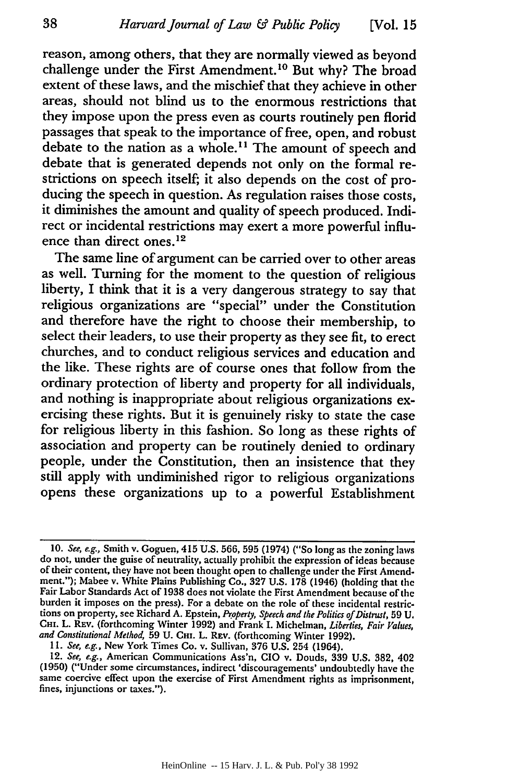reason, among others, that they are normally viewed as beyond challenge under the First Amendment.<sup>10</sup> But why? The broad extent of these laws, and the mischief that they achieve in other areas, should not blind us to the enormous restrictions that they impose upon the press even as courts routinely pen florid passages that speak to the importance of free, open, and robust debate to the nation as a whole.<sup>11</sup> The amount of speech and debate that is generated depends not only on the formal restrictions on speech itself; it also depends on the cost of producing the speech in question. As regulation raises those costs, it diminishes the amount and quality of speech produced. Indirect or incidental restrictions may exert a more powerful influence than direct ones.<sup>12</sup>

The same line of argument can be carried over to other areas as well. Turning for the moment to the question of religious liberty, I think that it is a very dangerous strategy to say that religious organizations are "special" under the Constitution and therefore have the right to choose their membership, to select their leaders, to use their property as they see fit, to erect churches, and to conduct religious services and education and the like. These rights are of course ones that follow from the ordinary protection of liberty and property for all individuals, and nothing is inappropriate about religious organizations exercising these rights. But it is genuinely risky to state the case for religious liberty in this fashion. So long as these rights of association and property can be routinely denied to ordinary people, under the Constitution, then an insistence that they still apply with undiminished rigor to religious organizations opens these organizations up to a powerful Establishment

**<sup>10.</sup>** *See, e.g.,* Smith v. Goguen, 415 **U.S. 566, 595** (1974) **("So** long as the zoning laws do not, under the guise of neutrality, actually prohibit the expression of ideas because of their content, they have not been thought open to challenge under the First Amendment."); Mabee v. White Plains Publishing Co., **327 U.S. 178** (1946) (holding that the Fair Labor Standards Act of **1938** does not violate the First Amendment because of the burden it imposes on the press). For a debate on the role of these incidental restrictions on property, see Richard **A.** Epstein, *Property, Speech and the Politics of Distrust,* **59 U. Cm.** L. **REV.** (forthcoming Winter **1992)** and Frank **I.** Michelman, *Liberties, Fair Values, and Constitutional Method,* **59 U. CHI.** L. **REV. (forthcoming Winter 1992).**

**<sup>11.</sup>** *See, e.g.,* New York Times Co. **v.** Sullivan, **376 U.S.** 254 (1964).

<sup>12.</sup> *See, e.g.,* American Communications Ass'n, **CIO v.** Douds, **339 U.S. 382,** 402 **(1950)** ("Under some circumstances, indirect 'discouragements' undoubtedly have the same coercive effect upon the exercise of First Amendment rights as imprisonment, fines, injunctions or taxes.").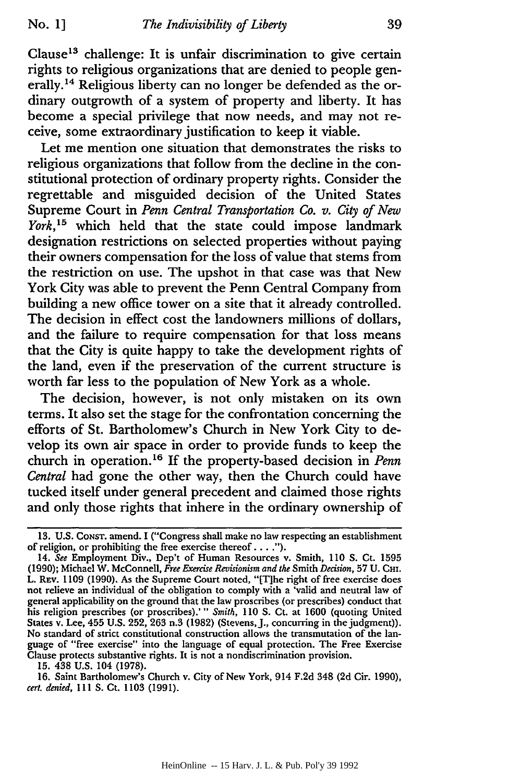Clause<sup>13</sup> challenge: It is unfair discrimination to give certain rights to religious organizations that are denied to people generally.<sup>14</sup> Religious liberty can no longer be defended as the ordinary outgrowth of a system of property and liberty. It has become a special privilege that now needs, and may not receive, some extraordinary justification to keep it viable.

Let me mention one situation that demonstrates the risks to religious organizations that follow from the decline in the constitutional protection of ordinary property rights. Consider the regrettable and misguided decision of the United States Supreme Court in *Penn Central Transportation Co. v. City of New* York,<sup>15</sup> which held that the state could impose landmark designation restrictions on selected properties without paying their owners compensation for the loss of value that stems from the restriction on use. The upshot in that case was that New York City was able to prevent the Penn Central Company from building a new office tower on a site that it already controlled. The decision in effect cost the landowners millions of dollars, and the failure to require compensation for that loss means that the City is quite happy to take the development rights of the land, even if the preservation of the current structure is worth far less to the population of New York as a whole.

The decision, however, is not only mistaken on its own terms. It also set the stage for the confrontation concerning the efforts of St. Bartholomew's Church in New York City to develop its own air space in order to provide funds to keep the church in operation. 16 If the property-based decision in *Penn Central* had gone the other way, then the Church could have tucked itself under general precedent and claimed those rights and only those rights that inhere in the ordinary ownership of

**15.** 438 U.S. 104 (1978).

**16.** Saint Bartholomew's Church v. City of New York, 914 F.2d 348 (2d Cir. 1990), *cert. denied,* 111 **S.** Ct. 1103 (1991).

**<sup>13.</sup> U.S.** CONsT. amend. I ("Congress shall make no law respecting an establishment of religion, or prohibiting the free exercise thereof **.... ).**

<sup>14.</sup> *See* Employment Div., Dep't of Human Resources v. Smith, 110 S. Ct. **1595** (1990); Michael W. McConnell, *Free Exercise Revisionism and the* Smith *Decision,* **57 U. CHI.** L. REv. 1109 (1990). As the Supreme Court noted, "[Tihe right of free exercise does not relieve an individual of the obligation to comply with a 'valid and neutral law of general applicability on the ground that the law proscribes (or prescribes) conduct that his religion prescribes (or proscribes).'" *Smith,* 110 **S.** Ct. at 1600 (quoting United States v. Lee, 455 U.S. 252, **263** n.3 (1982) (Stevens, **J.,** concurring in the judgment)). No standard of strict constitutional construction allows the transmutation of the language of "free exercise" into the language of equal protection. The Free Exercise Clause protects substantive rights. It is not a nondiscrimination provision.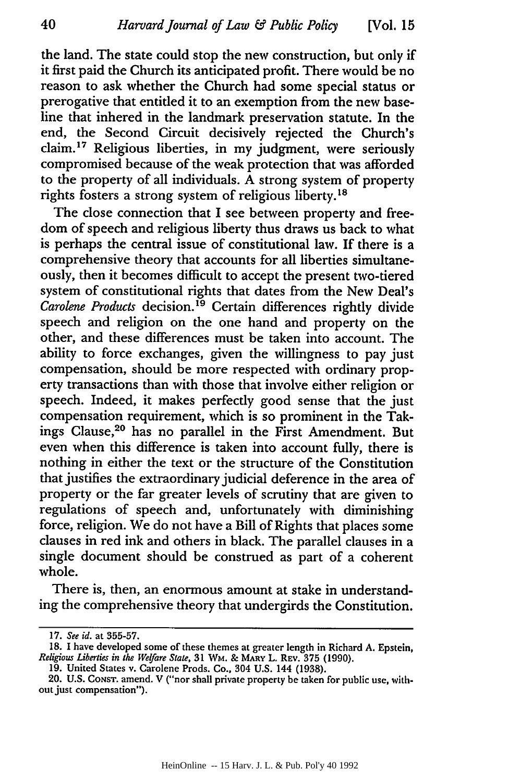the land. The state could stop the new construction, but only if it first paid the Church its anticipated profit. There would be no reason to ask whether the Church had some special status or prerogative that entitled it to an exemption from the new baseline that inhered in the landmark preservation statute. In the end, the Second Circuit decisively rejected the Church's claim.17 Religious liberties, in my judgment, were seriously compromised because of the weak protection that was afforded to the property of all individuals. A strong system of property rights fosters a strong system of religious liberty.18

The close connection that I see between property and freedom of speech and religious liberty thus draws us back to what is perhaps the central issue of constitutional law. If there is a comprehensive theory that accounts for all liberties simultaneously, then it becomes difficult to accept the present two-tiered system of constitutional rights that dates from the New Deal's Carolene Products decision.<sup>19</sup> Certain differences rightly divide speech and religion on the one hand and property on the other, and these differences must be taken into account. The ability to force exchanges, given the willingness to pay just compensation, should be more respected with ordinary property transactions than with those that involve either religion or speech. Indeed, it makes perfectly good sense that the just compensation requirement, which is so prominent in the Takings Clause, 20 has no parallel in the First Amendment. But even when this difference is taken into account fully, there is nothing in either the text or the structure of the Constitution that justifies the extraordinary judicial deference in the area of property or the far greater levels of scrutiny that are given to regulations of speech and, unfortunately with diminishing force, religion. We do not have a Bill of Rights that places some clauses in red ink and others in black. The parallel clauses in a single document should be construed as part of a coherent whole.

There is, then, an enormous amount at stake in understanding the comprehensive theory that undergirds the Constitution.

**<sup>17.</sup>** *See id.* at 355-57.

**<sup>18.</sup>** I have developed some of these themes at greater length in Richard **A.** Epstein, *Religious Liberties in the Welfare State,* **31** WM. & **MARY** L. **REV. 375 (1990).**

<sup>19.</sup> United States v. Carolene Prods. Co., 304 **U.S.** 144 (1938).

<sup>20.</sup> **U.S.** CONST. amend. V ("nor shall private property be taken for public use, without just compensation").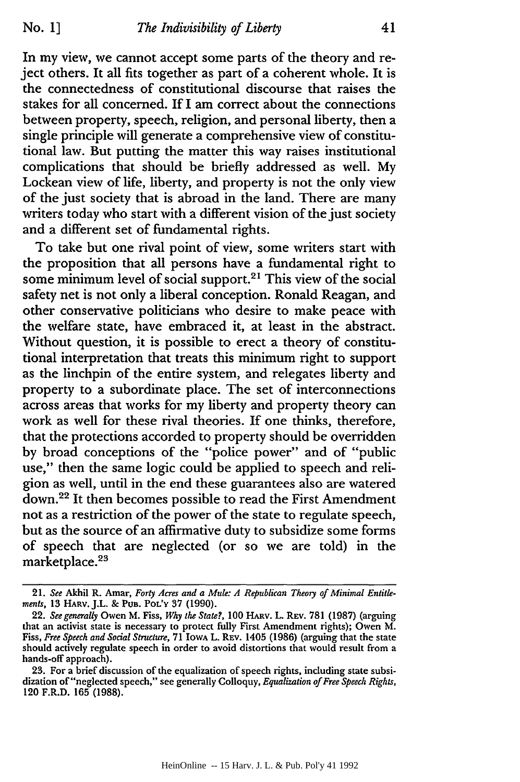In my view, we cannot accept some parts of the theory and reject others. It all fits together as part of a coherent whole. It is the connectedness of constitutional discourse that raises the stakes for all concerned. If I am correct about the connections between property, speech, religion, and personal liberty, then a single principle will generate a comprehensive view of constitutional law. But putting the matter this way raises institutional complications that should be briefly addressed as well. My Lockean view of life, liberty, and property is not the only view of the just society that is abroad in the land. There are many writers today who start with a different vision of the just society and a different set of fundamental rights.

To take but one rival point of view, some writers start with the proposition that all persons have a fundamental right to some minimum level of social support.21 This view of the social safety net is not only a liberal conception. Ronald Reagan, and other conservative politicians who desire to make peace with the welfare state, have embraced it, at least in the abstract. Without question, it is possible to erect a theory of constitutional interpretation that treats this minimum right to support as the linchpin of the entire system, and relegates liberty and property to a subordinate place. The set of interconnections across areas that works for my liberty and property theory can work as well for these rival theories. If one thinks, therefore, that the protections accorded to property should be overridden by broad conceptions of the "police power" and of "public use," then the same logic could be applied to speech and religion as well, until in the end these guarantees also are watered down.22 It then becomes possible to read the First Amendment not as a restriction of the power of the state to regulate speech, but as the source of an affirmative duty to subsidize some forms of speech that are neglected (or so we are told) in the marketplace.<sup>23</sup>

*<sup>21.</sup> See* Akhil R. Amar, *Forty Acres and a Mule: A Republican Theory of Minimal Entitle*ments, 13 HARV. J.L. & PUB. POL'Y 37 (1990).

<sup>22.</sup> *See generally* Owen M. Fiss, *Why the State?,* 100 HARv. L. **REV.** 781 (1987) (arguing that an activist state is necessary to protect fully First Amendment rights); Owen M. Fiss, *Free Speech and Sodal Structure,* 71 IowA L. REv. 1405 (1986) (arguing that the state should actively regulate speech in order to avoid distortions that would result from a hands-off approach).

<sup>23.</sup> For a brief discussion of the equalization of speech rights, including state subsidization of "neglected speech," see generally Colloquy, *Equalization of Free Speech Rights,* 120 F.R.D. 165 (1988).